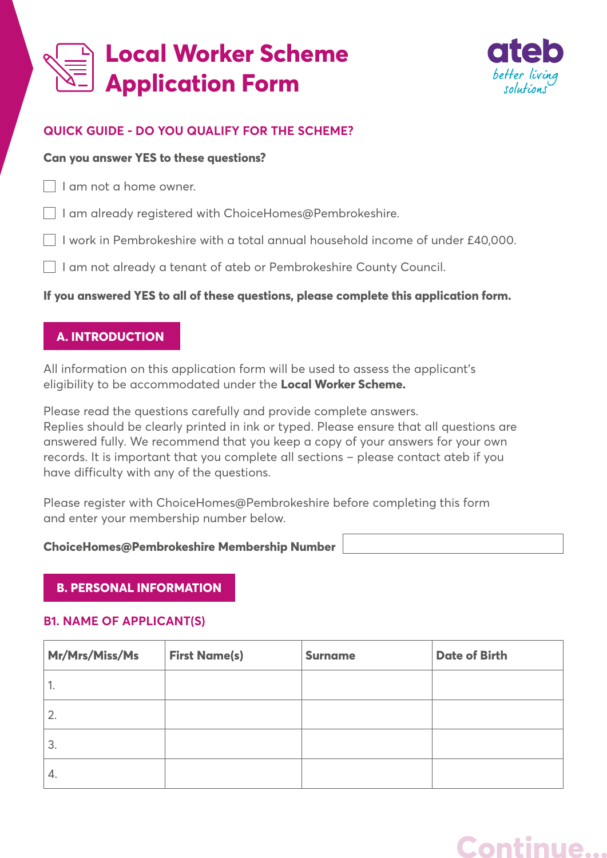# **Local Worker Scheme Application Form**



# **QUICK GUIDE - DO YOU QUALIFY FOR THE SCHEME?**

#### **Can you answer YES to these questions?**

I am not a home owner.

- I am already registered with ChoiceHomes@Pembrokeshire.
- $\Box$  I work in Pembrokeshire with a total annual household income of under £40,000.
- I am not already a tenant of ateb or Pembrokeshire County Council.

# **If you answered YES to all of these questions, please complete this application form.**

# **A. INTRODUCTION**

All information on this application form will be used to assess the applicant's eligibility to be accommodated under the **Local Worker Scheme.**

Please read the questions carefully and provide complete answers. Replies should be clearly printed in ink or typed. Please ensure that all questions are answered fully. We recommend that you keep a copy of your answers for your own records. It is important that you complete all sections – please contact ateb if you have difficulty with any of the questions.

Please register with ChoiceHomes@Pembrokeshire before completing this form and enter your membership number below.

#### **ChoiceHomes@Pembrokeshire Membership Number**

# **B. PERSONAL INFORMATION**

#### **B1. NAME OF APPLICANT(S)**

| Mr/Mrs/Miss/Ms | <b>First Name(s)</b> | <b>Surname</b> | <b>Date of Birth</b> |
|----------------|----------------------|----------------|----------------------|
| ٠.             |                      |                |                      |
| 2.             |                      |                |                      |
| 3.             |                      |                |                      |
| 4.             |                      |                |                      |

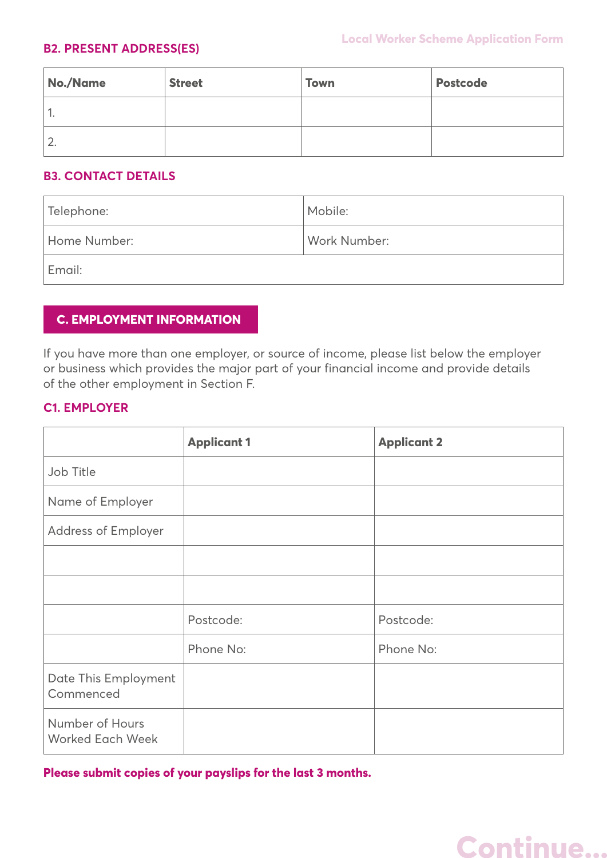#### **B2. PRESENT ADDRESS(ES)**

| No./Name | <b>Street</b> | <b>Town</b> | <b>Postcode</b> |
|----------|---------------|-------------|-----------------|
| ٠.       |               |             |                 |
| z.       |               |             |                 |

#### **B3. CONTACT DETAILS**

| Telephone:   | Mobile:      |
|--------------|--------------|
| Home Number: | Work Number: |
| Email:       |              |

# **C. EMPLOYMENT INFORMATION**

If you have more than one employer, or source of income, please list below the employer or business which provides the major part of your financial income and provide details of the other employment in Section F.

#### **C1. EMPLOYER**

|                                            | <b>Applicant 1</b> | <b>Applicant 2</b> |
|--------------------------------------------|--------------------|--------------------|
| Job Title                                  |                    |                    |
| Name of Employer                           |                    |                    |
| <b>Address of Employer</b>                 |                    |                    |
|                                            |                    |                    |
|                                            |                    |                    |
|                                            | Postcode:          | Postcode:          |
|                                            | Phone No:          | Phone No:          |
| Date This Employment<br>Commenced          |                    |                    |
| Number of Hours<br><b>Worked Each Week</b> |                    |                    |

**Please submit copies of your payslips for the last 3 months.**

# **Continue...**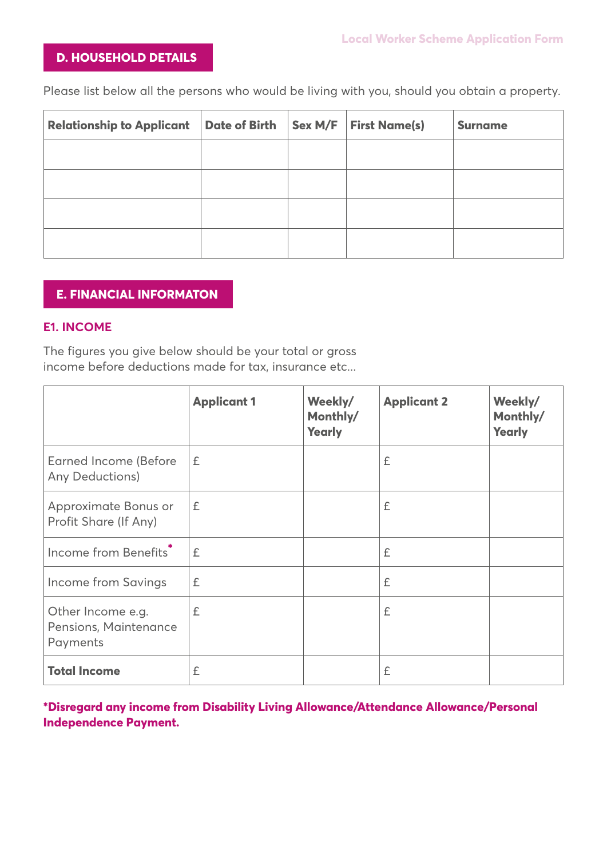### **D. HOUSEHOLD DETAILS**

Please list below all the persons who would be living with you, should you obtain a property.

| <b>Relationship to Applicant</b> | Date of Birth | Sex M/F | <b>First Name(s)</b> | <b>Surname</b> |
|----------------------------------|---------------|---------|----------------------|----------------|
|                                  |               |         |                      |                |
|                                  |               |         |                      |                |
|                                  |               |         |                      |                |
|                                  |               |         |                      |                |

#### **E. FINANCIAL INFORMATON**

#### **E1. INCOME**

The figures you give below should be your total or gross income before deductions made for tax, insurance etc...

|                                                        | <b>Applicant 1</b> | Weekly/<br>Monthly/<br><b>Yearly</b> | <b>Applicant 2</b> | Weekly/<br>Monthly/<br><b>Yearly</b> |
|--------------------------------------------------------|--------------------|--------------------------------------|--------------------|--------------------------------------|
| <b>Earned Income (Before</b><br>Any Deductions)        | £                  |                                      | £                  |                                      |
| Approximate Bonus or<br>Profit Share (If Any)          | £                  |                                      | £                  |                                      |
| Income from Benefits <sup>*</sup>                      | £                  |                                      | £                  |                                      |
| Income from Savings                                    | £                  |                                      | £                  |                                      |
| Other Income e.g.<br>Pensions, Maintenance<br>Payments | £                  |                                      | £                  |                                      |
| <b>Total Income</b>                                    | £                  |                                      | £                  |                                      |

**\*Disregard any income from Disability Living Allowance/Attendance Allowance/Personal Independence Payment.**